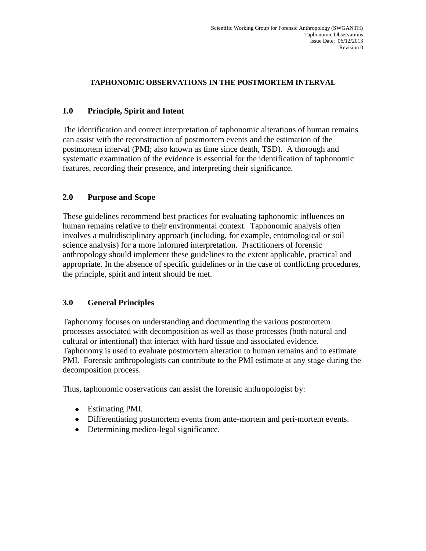### **TAPHONOMIC OBSERVATIONS IN THE POSTMORTEM INTERVAL**

## **1.0 Principle, Spirit and Intent**

The identification and correct interpretation of taphonomic alterations of human remains can assist with the reconstruction of postmortem events and the estimation of the postmortem interval (PMI; also known as time since death, TSD). A thorough and systematic examination of the evidence is essential for the identification of taphonomic features, recording their presence, and interpreting their significance.

# **2.0 Purpose and Scope**

These guidelines recommend best practices for evaluating taphonomic influences on human remains relative to their environmental context. Taphonomic analysis often involves a multidisciplinary approach (including, for example, entomological or soil science analysis) for a more informed interpretation. Practitioners of forensic anthropology should implement these guidelines to the extent applicable, practical and appropriate. In the absence of specific guidelines or in the case of conflicting procedures, the principle, spirit and intent should be met.

### **3.0 General Principles**

Taphonomy focuses on understanding and documenting the various postmortem processes associated with decomposition as well as those processes (both natural and cultural or intentional) that interact with hard tissue and associated evidence. Taphonomy is used to evaluate postmortem alteration to human remains and to estimate PMI. Forensic anthropologists can contribute to the PMI estimate at any stage during the decomposition process.

Thus, taphonomic observations can assist the forensic anthropologist by:

- Estimating PMI.
- Differentiating postmortem events from ante-mortem and peri-mortem events.
- Determining medico-legal significance.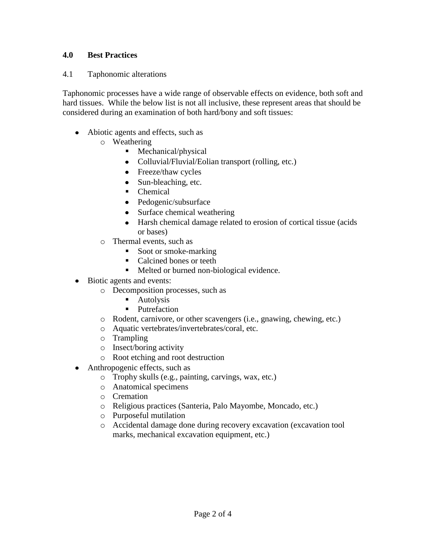## **4.0 Best Practices**

### 4.1 Taphonomic alterations

Taphonomic processes have a wide range of observable effects on evidence, both soft and hard tissues. While the below list is not all inclusive, these represent areas that should be considered during an examination of both hard/bony and soft tissues:

- Abiotic agents and effects, such as
	- o Weathering
		- Mechanical/physical
		- Colluvial/Fluvial/Eolian transport (rolling, etc.)
		- Freeze/thaw cycles
		- Sun-bleaching, etc.
		- Chemical
		- Pedogenic/subsurface
		- Surface chemical weathering
		- Harsh chemical damage related to erosion of cortical tissue (acids or bases)
	- o Thermal events, such as
		- Soot or smoke-marking
		- Calcined bones or teeth
		- Melted or burned non-biological evidence.
- Biotic agents and events:
	- o Decomposition processes, such as
		- **Autolysis**
		- **Putrefaction**
	- o Rodent, carnivore, or other scavengers (i.e., gnawing, chewing, etc.)
	- o Aquatic vertebrates/invertebrates/coral, etc.
	- o Trampling
	- o Insect/boring activity
	- o Root etching and root destruction
- Anthropogenic effects, such as
	- o Trophy skulls (e.g., painting, carvings, wax, etc.)
	- o Anatomical specimens
	- o Cremation
	- o Religious practices (Santeria, Palo Mayombe, Moncado, etc.)
	- o Purposeful mutilation
	- o Accidental damage done during recovery excavation (excavation tool marks, mechanical excavation equipment, etc.)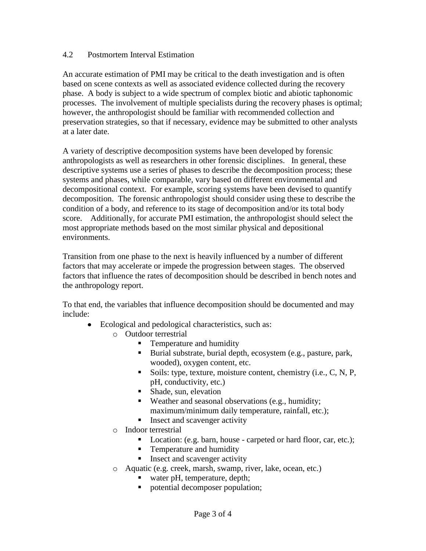#### 4.2 Postmortem Interval Estimation

An accurate estimation of PMI may be critical to the death investigation and is often based on scene contexts as well as associated evidence collected during the recovery phase. A body is subject to a wide spectrum of complex biotic and abiotic taphonomic processes. The involvement of multiple specialists during the recovery phases is optimal; however, the anthropologist should be familiar with recommended collection and preservation strategies, so that if necessary, evidence may be submitted to other analysts at a later date.

A variety of descriptive decomposition systems have been developed by forensic anthropologists as well as researchers in other forensic disciplines. In general, these descriptive systems use a series of phases to describe the decomposition process; these systems and phases, while comparable, vary based on different environmental and decompositional context. For example, scoring systems have been devised to quantify decomposition. The forensic anthropologist should consider using these to describe the condition of a body, and reference to its stage of decomposition and/or its total body score. Additionally, for accurate PMI estimation, the anthropologist should select the most appropriate methods based on the most similar physical and depositional environments.

Transition from one phase to the next is heavily influenced by a number of different factors that may accelerate or impede the progression between stages. The observed factors that influence the rates of decomposition should be described in bench notes and the anthropology report.

To that end, the variables that influence decomposition should be documented and may include:

- Ecological and pedological characteristics, such as:
	- o Outdoor terrestrial
		- **Temperature and humidity**
		- Burial substrate, burial depth, ecosystem (e.g., pasture, park, wooded), oxygen content, etc.
		- Soils: type, texture, moisture content, chemistry (i.e., C, N, P, pH, conductivity, etc.)
		- Shade, sun, elevation
		- **Weather and seasonal observations (e.g., humidity;** maximum/minimum daily temperature, rainfall, etc.);
		- **Insect and scavenger activity**
	- o Indoor terrestrial
		- Location: (e.g. barn, house carpeted or hard floor, car, etc.);
		- **Temperature and humidity**
		- **Insect and scavenger activity**
	- o Aquatic (e.g. creek, marsh, swamp, river, lake, ocean, etc.)
		- water pH, temperature, depth;
		- **•** potential decomposer population;